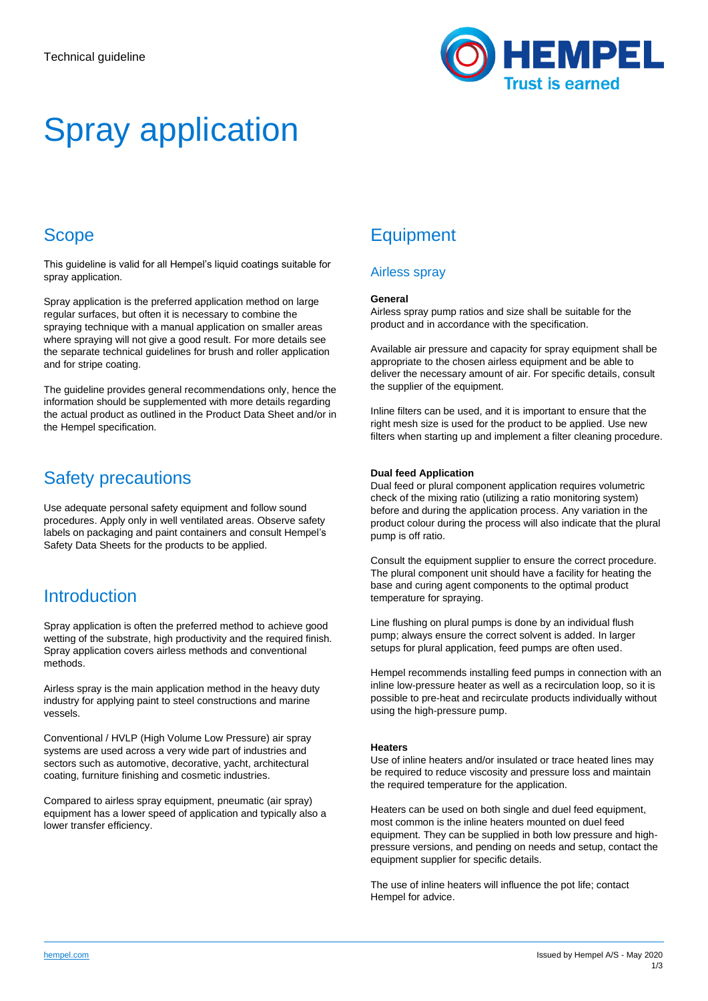

# Spray application

## Scope

This guideline is valid for all Hempel's liquid coatings suitable for spray application.

Spray application is the preferred application method on large regular surfaces, but often it is necessary to combine the spraying technique with a manual application on smaller areas where spraying will not give a good result. For more details see the separate technical guidelines for brush and roller application and for stripe coating.

The guideline provides general recommendations only, hence the information should be supplemented with more details regarding the actual product as outlined in the Product Data Sheet and/or in the Hempel specification.

### Safety precautions

Use adequate personal safety equipment and follow sound procedures. Apply only in well ventilated areas. Observe safety labels on packaging and paint containers and consult Hempel's Safety Data Sheets for the products to be applied.

### **Introduction**

Spray application is often the preferred method to achieve good wetting of the substrate, high productivity and the required finish. Spray application covers airless methods and conventional methods.

Airless spray is the main application method in the heavy duty industry for applying paint to steel constructions and marine vessels.

Conventional / HVLP (High Volume Low Pressure) air spray systems are used across a very wide part of industries and sectors such as automotive, decorative, yacht, architectural coating, furniture finishing and cosmetic industries.

Compared to airless spray equipment, pneumatic (air spray) equipment has a lower speed of application and typically also a lower transfer efficiency.

# **Equipment**

### Airless spray

#### **General**

Airless spray pump ratios and size shall be suitable for the product and in accordance with the specification.

Available air pressure and capacity for spray equipment shall be appropriate to the chosen airless equipment and be able to deliver the necessary amount of air. For specific details, consult the supplier of the equipment.

Inline filters can be used, and it is important to ensure that the right mesh size is used for the product to be applied. Use new filters when starting up and implement a filter cleaning procedure.

#### **Dual feed Application**

Dual feed or plural component application requires volumetric check of the mixing ratio (utilizing a ratio monitoring system) before and during the application process. Any variation in the product colour during the process will also indicate that the plural pump is off ratio.

Consult the equipment supplier to ensure the correct procedure. The plural component unit should have a facility for heating the base and curing agent components to the optimal product temperature for spraying.

Line flushing on plural pumps is done by an individual flush pump; always ensure the correct solvent is added. In larger setups for plural application, feed pumps are often used.

Hempel recommends installing feed pumps in connection with an inline low-pressure heater as well as a recirculation loop, so it is possible to pre-heat and recirculate products individually without using the high-pressure pump.

#### **Heaters**

Use of inline heaters and/or insulated or trace heated lines may be required to reduce viscosity and pressure loss and maintain the required temperature for the application.

Heaters can be used on both single and duel feed equipment, most common is the inline heaters mounted on duel feed equipment. They can be supplied in both low pressure and highpressure versions, and pending on needs and setup, contact the equipment supplier for specific details.

The use of inline heaters will influence the pot life; contact Hempel for advice.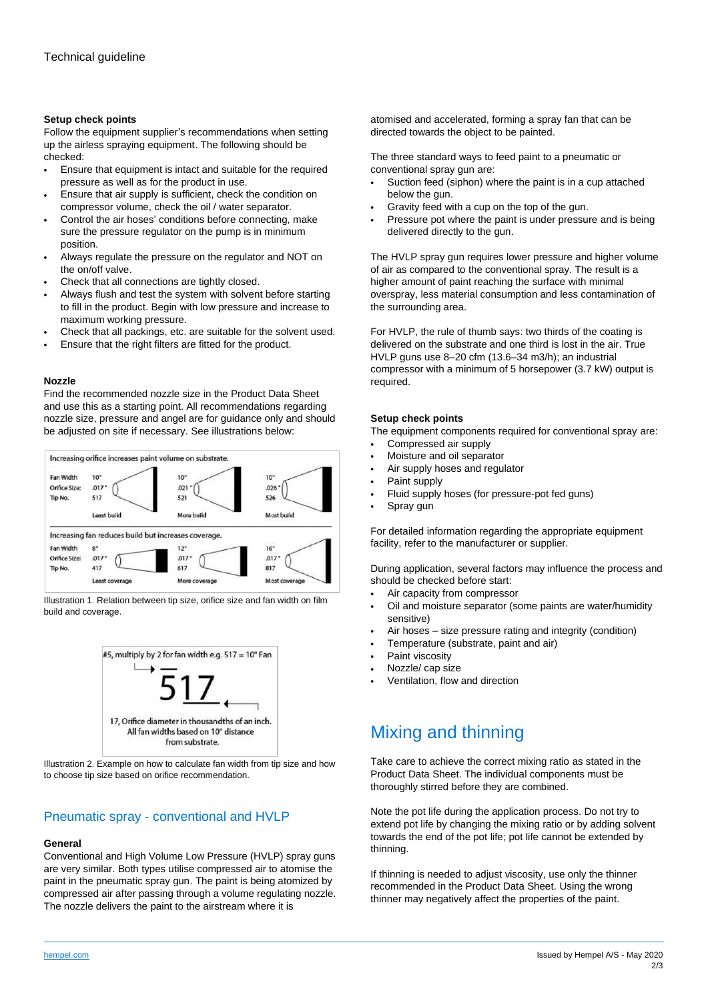#### **Setup check points**

Follow the equipment supplier's recommendations when setting up the airless spraying equipment. The following should be checked:

- Ensure that equipment is intact and suitable for the required pressure as well as for the product in use.
- Ensure that air supply is sufficient, check the condition on compressor volume, check the oil / water separator.
- Control the air hoses' conditions before connecting, make sure the pressure regulator on the pump is in minimum position.
- Always regulate the pressure on the regulator and NOT on the on/off valve.
- Check that all connections are tightly closed.
- Always flush and test the system with solvent before starting to fill in the product. Begin with low pressure and increase to maximum working pressure.
- Check that all packings, etc. are suitable for the solvent used.
- Ensure that the right filters are fitted for the product.

#### **Nozzle**

Find the recommended nozzle size in the Product Data Sheet and use this as a starting point. All recommendations regarding nozzle size, pressure and angel are for guidance only and should be adjusted on site if necessary. See illustrations below:



Illustration 1. Relation between tip size, orifice size and fan width on film build and coverage.



Illustration 2. Example on how to calculate fan width from tip size and how to choose tip size based on orifice recommendation.

### Pneumatic spray - conventional and HVLP

#### **General**

Conventional and High Volume Low Pressure (HVLP) spray guns are very similar. Both types utilise compressed air to atomise the paint in the pneumatic spray gun. The paint is being atomized by compressed air after passing through a volume regulating nozzle. The nozzle delivers the paint to the airstream where it is

atomised and accelerated, forming a spray fan that can be directed towards the object to be painted.

The three standard ways to feed paint to a pneumatic or conventional spray gun are:

- Suction feed (siphon) where the paint is in a cup attached below the gun.
- Gravity feed with a cup on the top of the gun.
- Pressure pot where the paint is under pressure and is being delivered directly to the gun.

The HVLP spray gun requires lower pressure and higher volume of air as compared to the conventional spray. The result is a higher amount of paint reaching the surface with minimal overspray, less material consumption and less contamination of the surrounding area.

For HVLP, the rule of thumb says: two thirds of the coating is delivered on the substrate and one third is lost in the air. True HVLP guns use 8–20 cfm (13.6–34 m3/h); an industrial compressor with a minimum of 5 horsepower (3.7 kW) output is required.

#### **Setup check points**

The equipment components required for conventional spray are:

- Compressed air supply
- Moisture and oil separator
- Air supply hoses and regulator
- Paint supply
- Fluid supply hoses (for pressure-pot fed guns)
- Spray gun

For detailed information regarding the appropriate equipment facility, refer to the manufacturer or supplier.

During application, several factors may influence the process and should be checked before start:

- Air capacity from compressor
- Oil and moisture separator (some paints are water/humidity sensitive)
- Air hoses size pressure rating and integrity (condition)
- Temperature (substrate, paint and air)
- Paint viscosity
- Nozzle/ cap size
- Ventilation, flow and direction

### Mixing and thinning

Take care to achieve the correct mixing ratio as stated in the Product Data Sheet. The individual components must be thoroughly stirred before they are combined.

Note the pot life during the application process. Do not try to extend pot life by changing the mixing ratio or by adding solvent towards the end of the pot life; pot life cannot be extended by thinning.

If thinning is needed to adjust viscosity, use only the thinner recommended in the Product Data Sheet. Using the wrong thinner may negatively affect the properties of the paint.